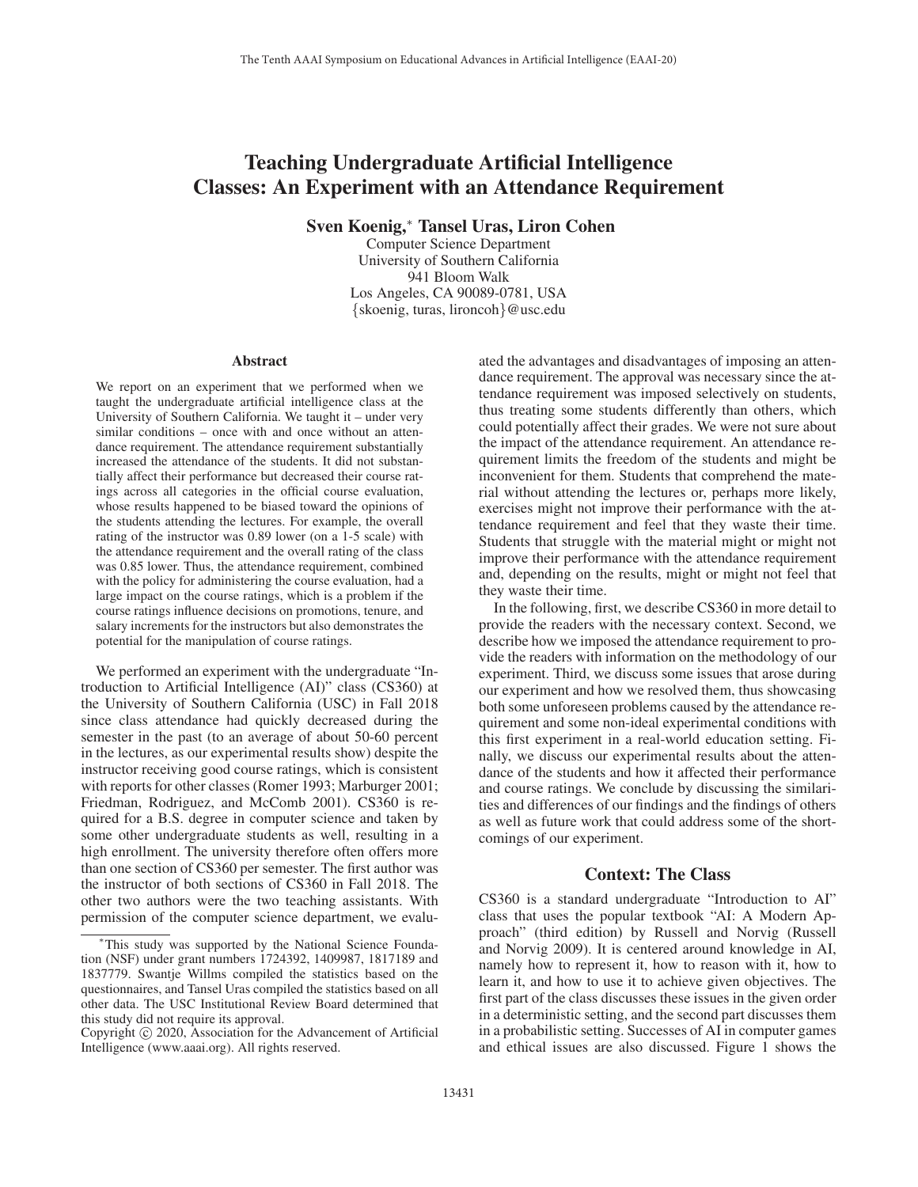# Teaching Undergraduate Artificial Intelligence Classes: An Experiment with an Attendance Requirement

Sven Koenig,<sup>∗</sup> Tansel Uras, Liron Cohen

Computer Science Department University of Southern California 941 Bloom Walk Los Angeles, CA 90089-0781, USA {skoenig, turas, lironcoh}@usc.edu

#### Abstract

We report on an experiment that we performed when we taught the undergraduate artificial intelligence class at the University of Southern California. We taught it – under very similar conditions – once with and once without an attendance requirement. The attendance requirement substantially increased the attendance of the students. It did not substantially affect their performance but decreased their course ratings across all categories in the official course evaluation, whose results happened to be biased toward the opinions of the students attending the lectures. For example, the overall rating of the instructor was 0.89 lower (on a 1-5 scale) with the attendance requirement and the overall rating of the class was 0.85 lower. Thus, the attendance requirement, combined with the policy for administering the course evaluation, had a large impact on the course ratings, which is a problem if the course ratings influence decisions on promotions, tenure, and salary increments for the instructors but also demonstrates the potential for the manipulation of course ratings.

We performed an experiment with the undergraduate "Introduction to Artificial Intelligence (AI)" class (CS360) at the University of Southern California (USC) in Fall 2018 since class attendance had quickly decreased during the semester in the past (to an average of about 50-60 percent in the lectures, as our experimental results show) despite the instructor receiving good course ratings, which is consistent with reports for other classes (Romer 1993; Marburger 2001; Friedman, Rodriguez, and McComb 2001). CS360 is required for a B.S. degree in computer science and taken by some other undergraduate students as well, resulting in a high enrollment. The university therefore often offers more than one section of CS360 per semester. The first author was the instructor of both sections of CS360 in Fall 2018. The other two authors were the two teaching assistants. With permission of the computer science department, we evaluated the advantages and disadvantages of imposing an attendance requirement. The approval was necessary since the attendance requirement was imposed selectively on students, thus treating some students differently than others, which could potentially affect their grades. We were not sure about the impact of the attendance requirement. An attendance requirement limits the freedom of the students and might be inconvenient for them. Students that comprehend the material without attending the lectures or, perhaps more likely, exercises might not improve their performance with the attendance requirement and feel that they waste their time. Students that struggle with the material might or might not improve their performance with the attendance requirement and, depending on the results, might or might not feel that they waste their time.

In the following, first, we describe CS360 in more detail to provide the readers with the necessary context. Second, we describe how we imposed the attendance requirement to provide the readers with information on the methodology of our experiment. Third, we discuss some issues that arose during our experiment and how we resolved them, thus showcasing both some unforeseen problems caused by the attendance requirement and some non-ideal experimental conditions with this first experiment in a real-world education setting. Finally, we discuss our experimental results about the attendance of the students and how it affected their performance and course ratings. We conclude by discussing the similarities and differences of our findings and the findings of others as well as future work that could address some of the shortcomings of our experiment.

# Context: The Class

CS360 is a standard undergraduate "Introduction to AI" class that uses the popular textbook "AI: A Modern Approach" (third edition) by Russell and Norvig (Russell and Norvig 2009). It is centered around knowledge in AI, namely how to represent it, how to reason with it, how to learn it, and how to use it to achieve given objectives. The first part of the class discusses these issues in the given order in a deterministic setting, and the second part discusses them in a probabilistic setting. Successes of AI in computer games and ethical issues are also discussed. Figure 1 shows the

<sup>∗</sup>This study was supported by the National Science Foundation (NSF) under grant numbers 1724392, 1409987, 1817189 and 1837779. Swantje Willms compiled the statistics based on the questionnaires, and Tansel Uras compiled the statistics based on all other data. The USC Institutional Review Board determined that this study did not require its approval.

Copyright  $\odot$  2020, Association for the Advancement of Artificial Intelligence (www.aaai.org). All rights reserved.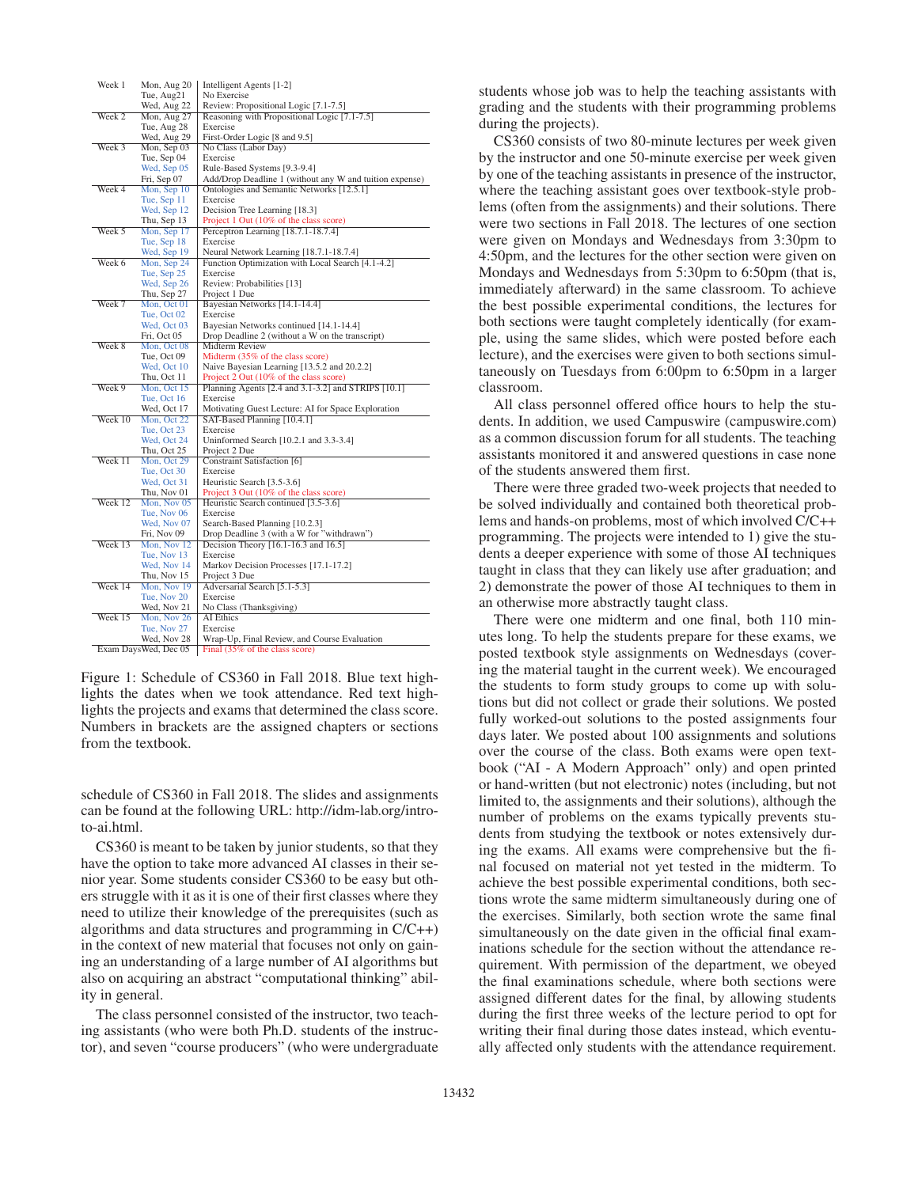| Week 1               | Mon, Aug 20 | Intelligent Agents [1-2]                                                                      |  |  |  |
|----------------------|-------------|-----------------------------------------------------------------------------------------------|--|--|--|
|                      | Tue, Aug21  | No Exercise                                                                                   |  |  |  |
|                      | Wed, Aug 22 | Review: Propositional Logic [7.1-7.5]                                                         |  |  |  |
| Week 2               | Mon, Aug 27 | Reasoning with Propositional Logic [7.1-7.5]                                                  |  |  |  |
|                      | Tue, Aug 28 | Exercise                                                                                      |  |  |  |
|                      | Wed, Aug 29 | First-Order Logic [8 and 9.5]                                                                 |  |  |  |
| Week 3               | Mon, Sep 03 | No Class (Labor Day)                                                                          |  |  |  |
|                      | Tue, Sep 04 | Exercise                                                                                      |  |  |  |
|                      | Wed, Sep 05 | Rule-Based Systems [9.3-9.4]                                                                  |  |  |  |
|                      | Fri, Sep 07 | Add/Drop Deadline 1 (without any W and tuition expense)                                       |  |  |  |
| Week 4               | Mon, Sep 10 | Ontologies and Semantic Networks [12.5.1]                                                     |  |  |  |
|                      | Tue, Sep 11 | Exercise                                                                                      |  |  |  |
|                      | Wed, Sep 12 | Decision Tree Learning [18.3]                                                                 |  |  |  |
|                      | Thu, Sep 13 | Project 1 Out (10% of the class score)                                                        |  |  |  |
| Week 5               | Mon, Sep 17 | Perceptron Learning [18.7.1-18.7.4]                                                           |  |  |  |
|                      | Tue, Sep 18 | Exercise                                                                                      |  |  |  |
|                      | Wed, Sep 19 | Neural Network Learning [18.7.1-18.7.4]                                                       |  |  |  |
| Week 6               | Mon, Sep 24 | Function Optimization with Local Search [4.1-4.2]                                             |  |  |  |
|                      | Tue, Sep 25 | Exercise                                                                                      |  |  |  |
|                      | Wed, Sep 26 | Review: Probabilities [13]                                                                    |  |  |  |
|                      | Thu, Sep 27 | Project 1 Due                                                                                 |  |  |  |
| Week 7               | Mon, Oct 01 | Bayesian Networks [14.1-14.4]                                                                 |  |  |  |
|                      | Tue, Oct 02 | Exercise                                                                                      |  |  |  |
|                      | Wed. Oct 03 | Bayesian Networks continued [14.1-14.4]                                                       |  |  |  |
|                      | Fri, Oct 05 | Drop Deadline 2 (without a W on the transcript)                                               |  |  |  |
| Week 8               | Mon, Oct 08 | <b>Midterm Review</b>                                                                         |  |  |  |
|                      |             | Midterm (35% of the class score)                                                              |  |  |  |
|                      | Tue, Oct 09 |                                                                                               |  |  |  |
|                      | Wed, Oct 10 | Naive Bayesian Learning [13.5.2 and 20.2.2]                                                   |  |  |  |
| Week 9               | Thu, Oct 11 | Project 2 Out (10% of the class score)<br>Planning Agents [2.4 and 3.1-3.2] and STRIPS [10.1] |  |  |  |
|                      | Mon, Oct 15 | Exercise                                                                                      |  |  |  |
|                      | Tue, Oct 16 |                                                                                               |  |  |  |
|                      | Wed, Oct 17 | Motivating Guest Lecture: AI for Space Exploration                                            |  |  |  |
| Week 10              | Mon, Oct 22 | SAT-Based Planning [10.4.1]                                                                   |  |  |  |
|                      | Tue, Oct 23 | Exercise                                                                                      |  |  |  |
|                      | Wed, Oct 24 | Uninformed Search $[10.2.1$ and $3.3-3.4]$                                                    |  |  |  |
|                      | Thu, Oct 25 | Project 2 Due                                                                                 |  |  |  |
| Week 11              | Mon, Oct 29 | Constraint Satisfaction [6]                                                                   |  |  |  |
|                      | Tue, Oct 30 | Exercise                                                                                      |  |  |  |
|                      | Wed, Oct 31 | Heuristic Search [3.5-3.6]                                                                    |  |  |  |
|                      | Thu, Nov 01 | Project 3 Out (10% of the class score)                                                        |  |  |  |
| Week 12              | Mon, Nov 05 | Heuristic Search continued [3.5-3.6]                                                          |  |  |  |
|                      | Tue, Nov 06 | Exercise                                                                                      |  |  |  |
|                      | Wed, Nov 07 | Search-Based Planning [10.2.3]                                                                |  |  |  |
|                      | Fri, Nov 09 | Drop Deadline 3 (with a W for "withdrawn")                                                    |  |  |  |
| Week 13              | Mon, Nov 12 | Decision Theory [16.1-16.3 and 16.5]                                                          |  |  |  |
|                      | Tue, Nov 13 | Exercise                                                                                      |  |  |  |
|                      | Wed, Nov 14 | Markov Decision Processes [17.1-17.2]                                                         |  |  |  |
|                      | Thu, Nov 15 | Project 3 Due                                                                                 |  |  |  |
| Week 14              | Mon, Nov 19 | Adversarial Search [5.1-5.3]                                                                  |  |  |  |
|                      | Tue, Nov 20 | Exercise                                                                                      |  |  |  |
|                      | Wed, Nov 21 | No Class (Thanksgiving)                                                                       |  |  |  |
| Week 15              | Mon, Nov 26 | <b>AI</b> Ethics                                                                              |  |  |  |
|                      | Tue, Nov 27 | Exercise                                                                                      |  |  |  |
|                      | Wed, Nov 28 | Wrap-Up, Final Review, and Course Evaluation                                                  |  |  |  |
| Exam DaysWed, Dec 05 |             | Final (35% of the class score)                                                                |  |  |  |

Figure 1: Schedule of CS360 in Fall 2018. Blue text highlights the dates when we took attendance. Red text highlights the projects and exams that determined the class score. Numbers in brackets are the assigned chapters or sections from the textbook.

schedule of CS360 in Fall 2018. The slides and assignments can be found at the following URL: http://idm-lab.org/introto-ai.html.

CS360 is meant to be taken by junior students, so that they have the option to take more advanced AI classes in their senior year. Some students consider CS360 to be easy but others struggle with it as it is one of their first classes where they need to utilize their knowledge of the prerequisites (such as algorithms and data structures and programming in C/C++) in the context of new material that focuses not only on gaining an understanding of a large number of AI algorithms but also on acquiring an abstract "computational thinking" ability in general.

The class personnel consisted of the instructor, two teaching assistants (who were both Ph.D. students of the instructor), and seven "course producers" (who were undergraduate students whose job was to help the teaching assistants with grading and the students with their programming problems during the projects).

CS360 consists of two 80-minute lectures per week given by the instructor and one 50-minute exercise per week given by one of the teaching assistants in presence of the instructor, where the teaching assistant goes over textbook-style problems (often from the assignments) and their solutions. There were two sections in Fall 2018. The lectures of one section were given on Mondays and Wednesdays from 3:30pm to 4:50pm, and the lectures for the other section were given on Mondays and Wednesdays from 5:30pm to 6:50pm (that is, immediately afterward) in the same classroom. To achieve the best possible experimental conditions, the lectures for both sections were taught completely identically (for example, using the same slides, which were posted before each lecture), and the exercises were given to both sections simultaneously on Tuesdays from 6:00pm to 6:50pm in a larger classroom.

All class personnel offered office hours to help the students. In addition, we used Campuswire (campuswire.com) as a common discussion forum for all students. The teaching assistants monitored it and answered questions in case none of the students answered them first.

There were three graded two-week projects that needed to be solved individually and contained both theoretical problems and hands-on problems, most of which involved C/C++ programming. The projects were intended to 1) give the students a deeper experience with some of those AI techniques taught in class that they can likely use after graduation; and 2) demonstrate the power of those AI techniques to them in an otherwise more abstractly taught class.

There were one midterm and one final, both 110 minutes long. To help the students prepare for these exams, we posted textbook style assignments on Wednesdays (covering the material taught in the current week). We encouraged the students to form study groups to come up with solutions but did not collect or grade their solutions. We posted fully worked-out solutions to the posted assignments four days later. We posted about 100 assignments and solutions over the course of the class. Both exams were open textbook ("AI - A Modern Approach" only) and open printed or hand-written (but not electronic) notes (including, but not limited to, the assignments and their solutions), although the number of problems on the exams typically prevents students from studying the textbook or notes extensively during the exams. All exams were comprehensive but the final focused on material not yet tested in the midterm. To achieve the best possible experimental conditions, both sections wrote the same midterm simultaneously during one of the exercises. Similarly, both section wrote the same final simultaneously on the date given in the official final examinations schedule for the section without the attendance requirement. With permission of the department, we obeyed the final examinations schedule, where both sections were assigned different dates for the final, by allowing students during the first three weeks of the lecture period to opt for writing their final during those dates instead, which eventually affected only students with the attendance requirement.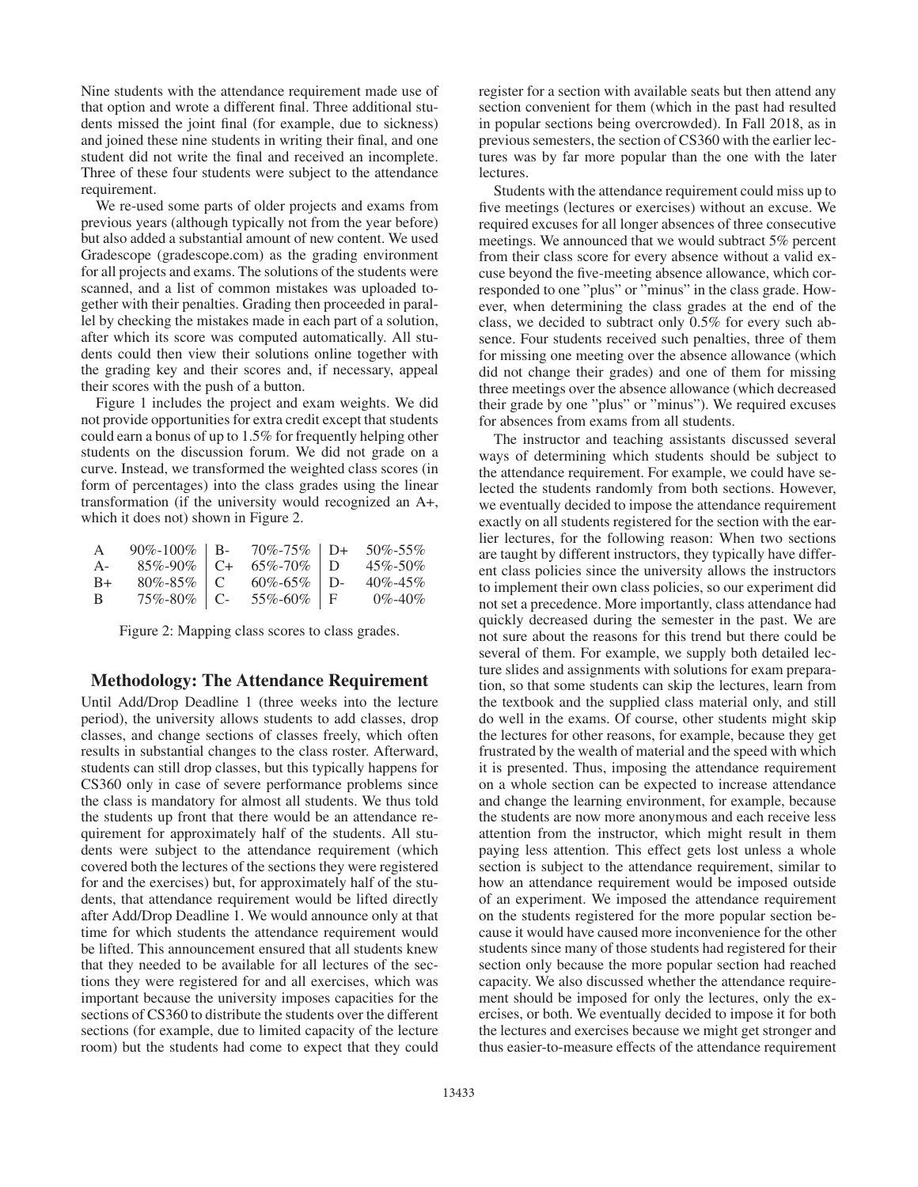Nine students with the attendance requirement made use of that option and wrote a different final. Three additional students missed the joint final (for example, due to sickness) and joined these nine students in writing their final, and one student did not write the final and received an incomplete. Three of these four students were subject to the attendance requirement.

We re-used some parts of older projects and exams from previous years (although typically not from the year before) but also added a substantial amount of new content. We used Gradescope (gradescope.com) as the grading environment for all projects and exams. The solutions of the students were scanned, and a list of common mistakes was uploaded together with their penalties. Grading then proceeded in parallel by checking the mistakes made in each part of a solution, after which its score was computed automatically. All students could then view their solutions online together with the grading key and their scores and, if necessary, appeal their scores with the push of a button.

Figure 1 includes the project and exam weights. We did not provide opportunities for extra credit except that students could earn a bonus of up to 1.5% for frequently helping other students on the discussion forum. We did not grade on a curve. Instead, we transformed the weighted class scores (in form of percentages) into the class grades using the linear transformation (if the university would recognized an A+, which it does not) shown in Figure 2.

| $\mathsf{A}$ | $90\% - 100\%$   B- | $70\% - 75\%$   D+ | 50%-55%       |
|--------------|---------------------|--------------------|---------------|
| $A -$        | $85\% - 90\%$ C+    | $65\% - 70\%$   D  | $45\% - 50\%$ |
| $B+$         | $80\% - 85\%$   C   | $60\% - 65\%$   D- | $40\% - 45\%$ |
| -B           | $75\% - 80\%$   C-  | $55\% - 60\%$   F  | $0\% - 40\%$  |

Figure 2: Mapping class scores to class grades.

## Methodology: The Attendance Requirement

Until Add/Drop Deadline 1 (three weeks into the lecture period), the university allows students to add classes, drop classes, and change sections of classes freely, which often results in substantial changes to the class roster. Afterward, students can still drop classes, but this typically happens for CS360 only in case of severe performance problems since the class is mandatory for almost all students. We thus told the students up front that there would be an attendance requirement for approximately half of the students. All students were subject to the attendance requirement (which covered both the lectures of the sections they were registered for and the exercises) but, for approximately half of the students, that attendance requirement would be lifted directly after Add/Drop Deadline 1. We would announce only at that time for which students the attendance requirement would be lifted. This announcement ensured that all students knew that they needed to be available for all lectures of the sections they were registered for and all exercises, which was important because the university imposes capacities for the sections of CS360 to distribute the students over the different sections (for example, due to limited capacity of the lecture room) but the students had come to expect that they could

register for a section with available seats but then attend any section convenient for them (which in the past had resulted in popular sections being overcrowded). In Fall 2018, as in previous semesters, the section of CS360 with the earlier lectures was by far more popular than the one with the later **lectures** 

Students with the attendance requirement could miss up to five meetings (lectures or exercises) without an excuse. We required excuses for all longer absences of three consecutive meetings. We announced that we would subtract 5% percent from their class score for every absence without a valid excuse beyond the five-meeting absence allowance, which corresponded to one "plus" or "minus" in the class grade. However, when determining the class grades at the end of the class, we decided to subtract only 0.5% for every such absence. Four students received such penalties, three of them for missing one meeting over the absence allowance (which did not change their grades) and one of them for missing three meetings over the absence allowance (which decreased their grade by one "plus" or "minus"). We required excuses for absences from exams from all students.

The instructor and teaching assistants discussed several ways of determining which students should be subject to the attendance requirement. For example, we could have selected the students randomly from both sections. However, we eventually decided to impose the attendance requirement exactly on all students registered for the section with the earlier lectures, for the following reason: When two sections are taught by different instructors, they typically have different class policies since the university allows the instructors to implement their own class policies, so our experiment did not set a precedence. More importantly, class attendance had quickly decreased during the semester in the past. We are not sure about the reasons for this trend but there could be several of them. For example, we supply both detailed lecture slides and assignments with solutions for exam preparation, so that some students can skip the lectures, learn from the textbook and the supplied class material only, and still do well in the exams. Of course, other students might skip the lectures for other reasons, for example, because they get frustrated by the wealth of material and the speed with which it is presented. Thus, imposing the attendance requirement on a whole section can be expected to increase attendance and change the learning environment, for example, because the students are now more anonymous and each receive less attention from the instructor, which might result in them paying less attention. This effect gets lost unless a whole section is subject to the attendance requirement, similar to how an attendance requirement would be imposed outside of an experiment. We imposed the attendance requirement on the students registered for the more popular section because it would have caused more inconvenience for the other students since many of those students had registered for their section only because the more popular section had reached capacity. We also discussed whether the attendance requirement should be imposed for only the lectures, only the exercises, or both. We eventually decided to impose it for both the lectures and exercises because we might get stronger and thus easier-to-measure effects of the attendance requirement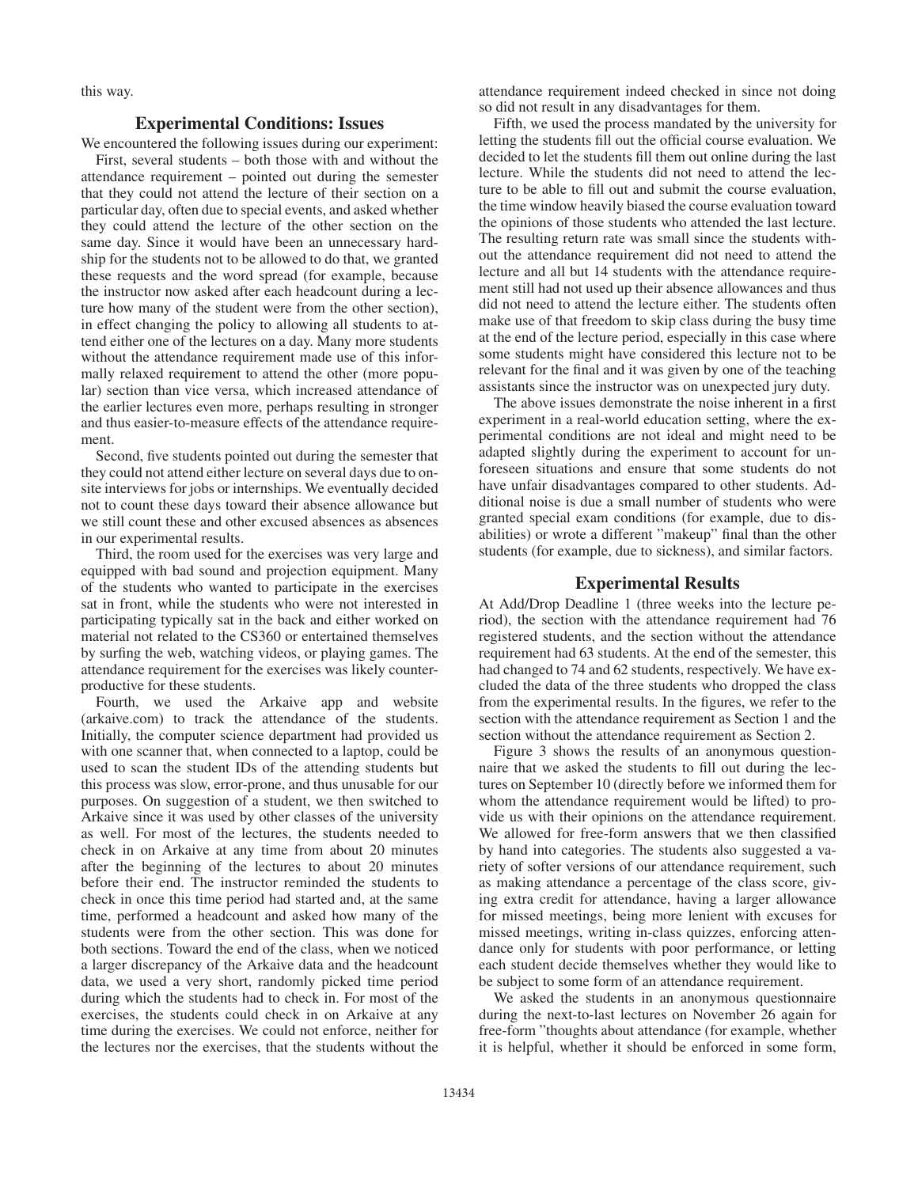this way.

## Experimental Conditions: Issues

We encountered the following issues during our experiment:

First, several students – both those with and without the attendance requirement – pointed out during the semester that they could not attend the lecture of their section on a particular day, often due to special events, and asked whether they could attend the lecture of the other section on the same day. Since it would have been an unnecessary hardship for the students not to be allowed to do that, we granted these requests and the word spread (for example, because the instructor now asked after each headcount during a lecture how many of the student were from the other section), in effect changing the policy to allowing all students to attend either one of the lectures on a day. Many more students without the attendance requirement made use of this informally relaxed requirement to attend the other (more popular) section than vice versa, which increased attendance of the earlier lectures even more, perhaps resulting in stronger and thus easier-to-measure effects of the attendance requirement.

Second, five students pointed out during the semester that they could not attend either lecture on several days due to onsite interviews for jobs or internships. We eventually decided not to count these days toward their absence allowance but we still count these and other excused absences as absences in our experimental results.

Third, the room used for the exercises was very large and equipped with bad sound and projection equipment. Many of the students who wanted to participate in the exercises sat in front, while the students who were not interested in participating typically sat in the back and either worked on material not related to the CS360 or entertained themselves by surfing the web, watching videos, or playing games. The attendance requirement for the exercises was likely counterproductive for these students.

Fourth, we used the Arkaive app and website (arkaive.com) to track the attendance of the students. Initially, the computer science department had provided us with one scanner that, when connected to a laptop, could be used to scan the student IDs of the attending students but this process was slow, error-prone, and thus unusable for our purposes. On suggestion of a student, we then switched to Arkaive since it was used by other classes of the university as well. For most of the lectures, the students needed to check in on Arkaive at any time from about 20 minutes after the beginning of the lectures to about 20 minutes before their end. The instructor reminded the students to check in once this time period had started and, at the same time, performed a headcount and asked how many of the students were from the other section. This was done for both sections. Toward the end of the class, when we noticed a larger discrepancy of the Arkaive data and the headcount data, we used a very short, randomly picked time period during which the students had to check in. For most of the exercises, the students could check in on Arkaive at any time during the exercises. We could not enforce, neither for the lectures nor the exercises, that the students without the

attendance requirement indeed checked in since not doing so did not result in any disadvantages for them.

Fifth, we used the process mandated by the university for letting the students fill out the official course evaluation. We decided to let the students fill them out online during the last lecture. While the students did not need to attend the lecture to be able to fill out and submit the course evaluation, the time window heavily biased the course evaluation toward the opinions of those students who attended the last lecture. The resulting return rate was small since the students without the attendance requirement did not need to attend the lecture and all but 14 students with the attendance requirement still had not used up their absence allowances and thus did not need to attend the lecture either. The students often make use of that freedom to skip class during the busy time at the end of the lecture period, especially in this case where some students might have considered this lecture not to be relevant for the final and it was given by one of the teaching assistants since the instructor was on unexpected jury duty.

The above issues demonstrate the noise inherent in a first experiment in a real-world education setting, where the experimental conditions are not ideal and might need to be adapted slightly during the experiment to account for unforeseen situations and ensure that some students do not have unfair disadvantages compared to other students. Additional noise is due a small number of students who were granted special exam conditions (for example, due to disabilities) or wrote a different "makeup" final than the other students (for example, due to sickness), and similar factors.

# Experimental Results

At Add/Drop Deadline 1 (three weeks into the lecture period), the section with the attendance requirement had 76 registered students, and the section without the attendance requirement had 63 students. At the end of the semester, this had changed to 74 and 62 students, respectively. We have excluded the data of the three students who dropped the class from the experimental results. In the figures, we refer to the section with the attendance requirement as Section 1 and the section without the attendance requirement as Section 2.

Figure 3 shows the results of an anonymous questionnaire that we asked the students to fill out during the lectures on September 10 (directly before we informed them for whom the attendance requirement would be lifted) to provide us with their opinions on the attendance requirement. We allowed for free-form answers that we then classified by hand into categories. The students also suggested a variety of softer versions of our attendance requirement, such as making attendance a percentage of the class score, giving extra credit for attendance, having a larger allowance for missed meetings, being more lenient with excuses for missed meetings, writing in-class quizzes, enforcing attendance only for students with poor performance, or letting each student decide themselves whether they would like to be subject to some form of an attendance requirement.

We asked the students in an anonymous questionnaire during the next-to-last lectures on November 26 again for free-form "thoughts about attendance (for example, whether it is helpful, whether it should be enforced in some form,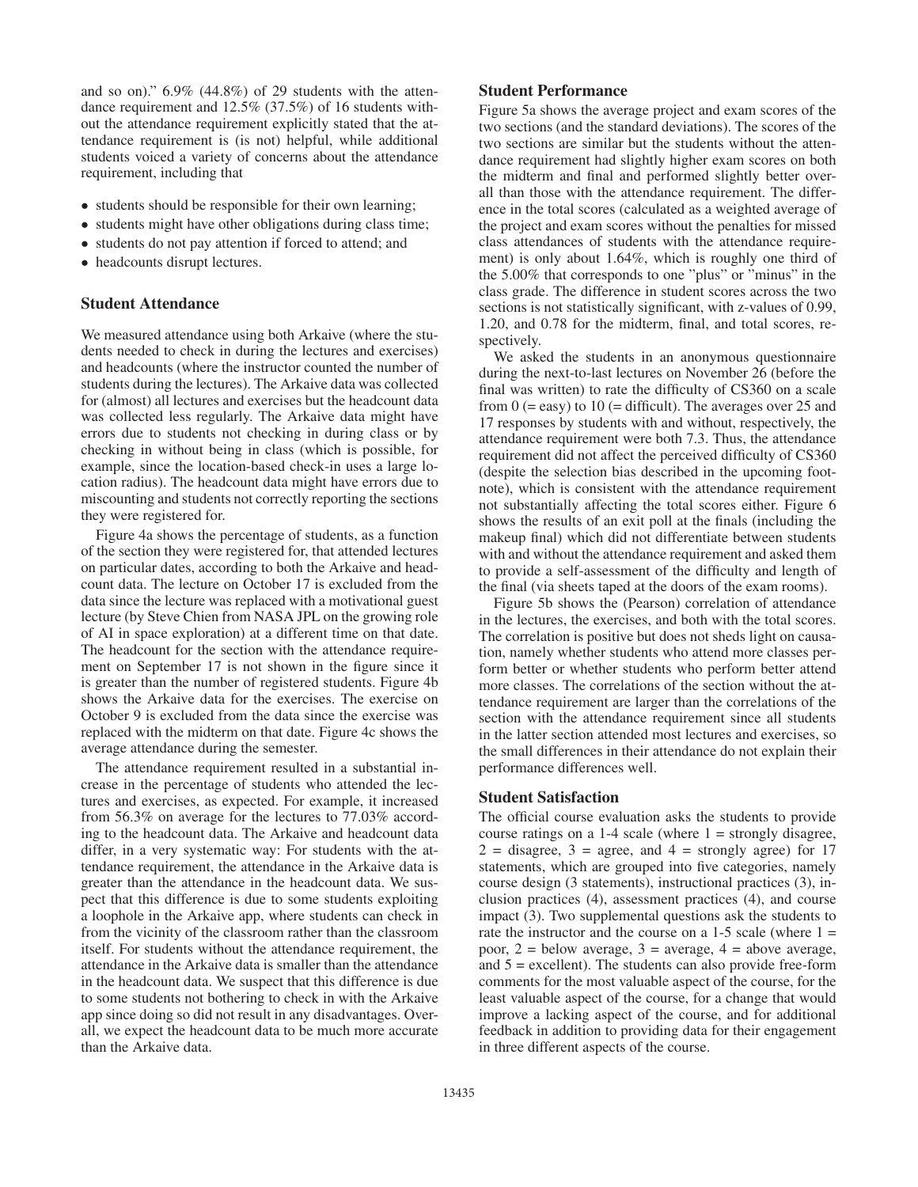and so on)." 6.9% (44.8%) of 29 students with the attendance requirement and 12.5% (37.5%) of 16 students without the attendance requirement explicitly stated that the attendance requirement is (is not) helpful, while additional students voiced a variety of concerns about the attendance requirement, including that

- students should be responsible for their own learning;
- students might have other obligations during class time;
- students do not pay attention if forced to attend; and
- headcounts disrupt lectures.

#### Student Attendance

We measured attendance using both Arkaive (where the students needed to check in during the lectures and exercises) and headcounts (where the instructor counted the number of students during the lectures). The Arkaive data was collected for (almost) all lectures and exercises but the headcount data was collected less regularly. The Arkaive data might have errors due to students not checking in during class or by checking in without being in class (which is possible, for example, since the location-based check-in uses a large location radius). The headcount data might have errors due to miscounting and students not correctly reporting the sections they were registered for.

Figure 4a shows the percentage of students, as a function of the section they were registered for, that attended lectures on particular dates, according to both the Arkaive and headcount data. The lecture on October 17 is excluded from the data since the lecture was replaced with a motivational guest lecture (by Steve Chien from NASA JPL on the growing role of AI in space exploration) at a different time on that date. The headcount for the section with the attendance requirement on September 17 is not shown in the figure since it is greater than the number of registered students. Figure 4b shows the Arkaive data for the exercises. The exercise on October 9 is excluded from the data since the exercise was replaced with the midterm on that date. Figure 4c shows the average attendance during the semester.

The attendance requirement resulted in a substantial increase in the percentage of students who attended the lectures and exercises, as expected. For example, it increased from 56.3% on average for the lectures to 77.03% according to the headcount data. The Arkaive and headcount data differ, in a very systematic way: For students with the attendance requirement, the attendance in the Arkaive data is greater than the attendance in the headcount data. We suspect that this difference is due to some students exploiting a loophole in the Arkaive app, where students can check in from the vicinity of the classroom rather than the classroom itself. For students without the attendance requirement, the attendance in the Arkaive data is smaller than the attendance in the headcount data. We suspect that this difference is due to some students not bothering to check in with the Arkaive app since doing so did not result in any disadvantages. Overall, we expect the headcount data to be much more accurate than the Arkaive data.

# Student Performance

Figure 5a shows the average project and exam scores of the two sections (and the standard deviations). The scores of the two sections are similar but the students without the attendance requirement had slightly higher exam scores on both the midterm and final and performed slightly better overall than those with the attendance requirement. The difference in the total scores (calculated as a weighted average of the project and exam scores without the penalties for missed class attendances of students with the attendance requirement) is only about 1.64%, which is roughly one third of the 5.00% that corresponds to one "plus" or "minus" in the class grade. The difference in student scores across the two sections is not statistically significant, with z-values of 0.99, 1.20, and 0.78 for the midterm, final, and total scores, respectively.

We asked the students in an anonymous questionnaire during the next-to-last lectures on November 26 (before the final was written) to rate the difficulty of CS360 on a scale from  $0$  (= easy) to  $10$  (= difficult). The averages over 25 and 17 responses by students with and without, respectively, the attendance requirement were both 7.3. Thus, the attendance requirement did not affect the perceived difficulty of CS360 (despite the selection bias described in the upcoming footnote), which is consistent with the attendance requirement not substantially affecting the total scores either. Figure 6 shows the results of an exit poll at the finals (including the makeup final) which did not differentiate between students with and without the attendance requirement and asked them to provide a self-assessment of the difficulty and length of the final (via sheets taped at the doors of the exam rooms).

Figure 5b shows the (Pearson) correlation of attendance in the lectures, the exercises, and both with the total scores. The correlation is positive but does not sheds light on causation, namely whether students who attend more classes perform better or whether students who perform better attend more classes. The correlations of the section without the attendance requirement are larger than the correlations of the section with the attendance requirement since all students in the latter section attended most lectures and exercises, so the small differences in their attendance do not explain their performance differences well.

#### Student Satisfaction

The official course evaluation asks the students to provide course ratings on a 1-4 scale (where  $1 =$  strongly disagree,  $2 =$  disagree,  $3 =$  agree, and  $4 =$  strongly agree) for 17 statements, which are grouped into five categories, namely course design (3 statements), instructional practices (3), inclusion practices (4), assessment practices (4), and course impact (3). Two supplemental questions ask the students to rate the instructor and the course on a  $1-5$  scale (where  $1 =$ poor,  $2 =$  below average,  $3 =$  average,  $4 =$  above average, and  $5 =$  excellent). The students can also provide free-form comments for the most valuable aspect of the course, for the least valuable aspect of the course, for a change that would improve a lacking aspect of the course, and for additional feedback in addition to providing data for their engagement in three different aspects of the course.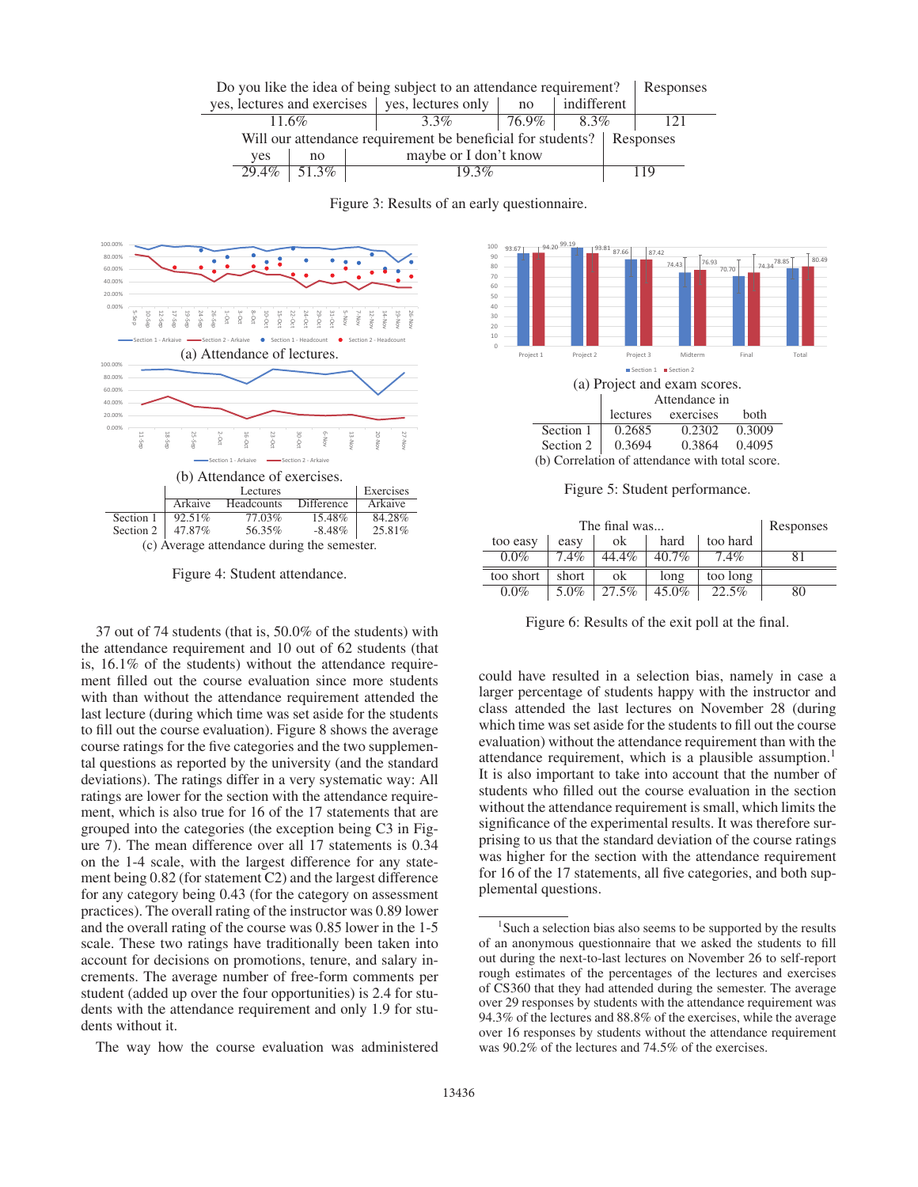

Figure 3: Results of an early questionnaire.



Figure 4: Student attendance.

37 out of 74 students (that is, 50.0% of the students) with the attendance requirement and 10 out of 62 students (that is, 16.1% of the students) without the attendance requirement filled out the course evaluation since more students with than without the attendance requirement attended the last lecture (during which time was set aside for the students to fill out the course evaluation). Figure 8 shows the average course ratings for the five categories and the two supplemental questions as reported by the university (and the standard deviations). The ratings differ in a very systematic way: All ratings are lower for the section with the attendance requirement, which is also true for 16 of the 17 statements that are grouped into the categories (the exception being C3 in Figure 7). The mean difference over all 17 statements is 0.34 on the 1-4 scale, with the largest difference for any statement being 0.82 (for statement C2) and the largest difference for any category being 0.43 (for the category on assessment practices). The overall rating of the instructor was 0.89 lower and the overall rating of the course was 0.85 lower in the 1-5 scale. These two ratings have traditionally been taken into account for decisions on promotions, tenure, and salary increments. The average number of free-form comments per student (added up over the four opportunities) is 2.4 for students with the attendance requirement and only 1.9 for students without it.

The way how the course evaluation was administered



Figure 5: Student performance.

|           | Responses |       |          |          |    |
|-----------|-----------|-------|----------|----------|----|
| too easy  | easy      | ok    | hard     | too hard |    |
| $0.0\%$   | $7.4\%$   | 44.4% | $40.7\%$ | 7.4%     | 81 |
| too short | short     | ok    | long     | too long |    |
| $0.0\%$   | 5.0%      | 27.5% | $45.0\%$ | 22.5%    | 80 |

Figure 6: Results of the exit poll at the final.

could have resulted in a selection bias, namely in case a larger percentage of students happy with the instructor and class attended the last lectures on November 28 (during which time was set aside for the students to fill out the course evaluation) without the attendance requirement than with the attendance requirement, which is a plausible assumption.<sup>1</sup> It is also important to take into account that the number of students who filled out the course evaluation in the section without the attendance requirement is small, which limits the significance of the experimental results. It was therefore surprising to us that the standard deviation of the course ratings was higher for the section with the attendance requirement for 16 of the 17 statements, all five categories, and both supplemental questions.

<sup>&</sup>lt;sup>1</sup>Such a selection bias also seems to be supported by the results of an anonymous questionnaire that we asked the students to fill out during the next-to-last lectures on November 26 to self-report rough estimates of the percentages of the lectures and exercises of CS360 that they had attended during the semester. The average over 29 responses by students with the attendance requirement was 94.3% of the lectures and 88.8% of the exercises, while the average over 16 responses by students without the attendance requirement was 90.2% of the lectures and 74.5% of the exercises.